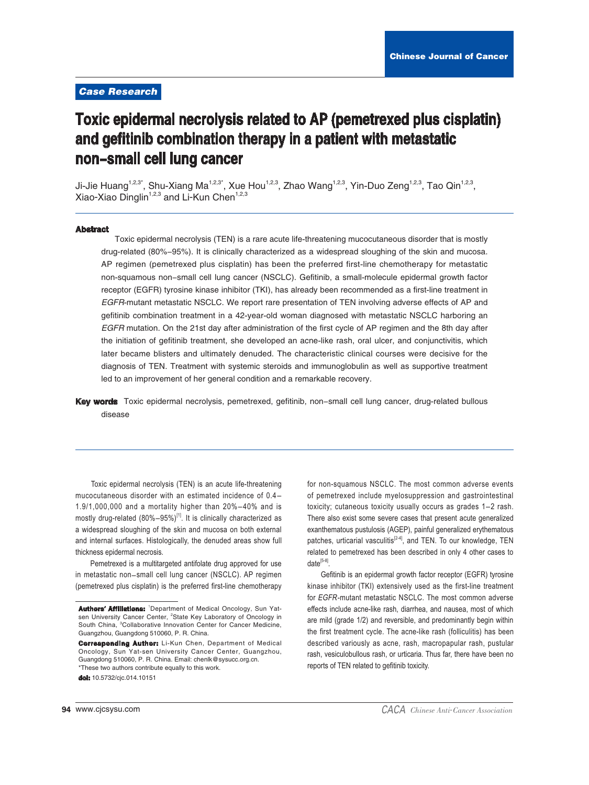## **Case Research**

# Toxic epidermal necrolysis related to AP (pemetrexed plus cisplatin) and gefitinib combination therapy in a patient with metastatic non-small cell lung cancer

Ji-Jie Huang<sup>1,2,3\*</sup>, Shu-Xiang Ma<sup>1,2,3\*</sup>, Xue Hou<sup>1,2,3</sup>, Zhao Wang<sup>1,2,3</sup>, Yin-Duo Zeng<sup>1,2,3</sup>, Tao Qin<sup>1,2,3</sup>, Xiao-Xiao Dinglin<sup>1,2,3</sup> and Li-Kun Chen<sup>1,2,3</sup>

#### **Abstract**

Toxic epidermal necrolysis (TEN) is a rare acute life-threatening mucocutaneous disorder that is mostly drug-related (80%-95%). It is clinically characterized as a widespread sloughing of the skin and mucosa. AP regimen (pemetrexed plus cisplatin) has been the preferred first-line chemotherapy for metastatic non-squamous non-small cell lung cancer (NSCLC). Gefitinib, a small-molecule epidermal growth factor receptor (EGFR) tyrosine kinase inhibitor (TKI), has already been recommended as a first-line treatment in EGFR-mutant metastatic NSCLC. We report rare presentation of TEN involving adverse effects of AP and gefitinib combination treatment in a 42-year-old woman diagnosed with metastatic NSCLC harboring an EGFR mutation. On the 21st day after administration of the first cycle of AP regimen and the 8th day after the initiation of gefitinib treatment, she developed an acne-like rash, oral ulcer, and conjunctivitis, which later became blisters and ultimately denuded. The characteristic clinical courses were decisive for the diagnosis of TEN. Treatment with systemic steroids and immunoglobulin as well as supportive treatment led to an improvement of her general condition and a remarkable recovery.

Key words Toxic epidermal necrolysis, pemetrexed, gefitinib, non-small cell lung cancer, drug-related bullous disease

Toxic epidermal necrolysis (TEN) is an acute life-threatening mucocutaneous disorder with an estimated incidence of 0.4-1.9/1,000,000 and a mortality higher than  $20\% - 40\%$  and is mostly drug-related (80%-95%)<sup>[1]</sup>. It is clinically characterized as a widespread sloughing of the skin and mucosa on both external and internal surfaces. Histologically, the denuded areas show full thickness epidermal necrosis.

Pemetrexed is a multitargeted antifolate drug approved for use in metastatic non-small cell lung cancer (NSCLC). AP regimen (pemetrexed plus cisplatin) is the preferred first-line chemotherapy

for non-squamous NSCLC. The most common adverse events of pemetrexed include myelosuppression and gastrointestinal toxicity; cutaneous toxicity usually occurs as grades 1–2 rash. There also exist some severe cases that present acute generalized exanthematous pustulosis (AGEP), painful generalized erythematous patches, urticarial vasculitis<sup>[2-4]</sup>, and TEN. To our knowledge, TEN related to pemetrexed has been described in only 4 other cases to  $date^{[5-8]}$ 

Gefitinib is an epidermal growth factor receptor (EGFR) tyrosine kinase inhibitor (TKI) extensively used as the first-line treatment for EGFR-mutant metastatic NSCLC. The most common adverse effects include acne-like rash, diarrhea, and nausea, most of which are mild (grade 1/2) and reversible, and predominantly begin within the first treatment cycle. The acne-like rash (folliculitis) has been described variously as acne, rash, macropapular rash, pustular rash, vesiculobullous rash, or urticaria. Thus far, there have been no reports of TEN related to gefitinib toxicity.

Authors' Affiliations: 1Department of Medical Oncology, Sun Yatsen University Cancer Center, <sup>2</sup>State Key Laboratory of Oncology in South China, <sup>3</sup>Collaborative Innovation Center for Cancer Medicine, Guangzhou, Guangdong 510060, P. R. China.

**Corresponding Author:** Li-Kun Chen, Department of Medical Oncology, Sun Yat-sen University Cancer Center, Guangzhou, Guangdong 510060, P. R. China. Email: chenlk@sysucc.org.cn. \*These two authors contribute equally to this work.

dol: 10.5732/cjc.014.10151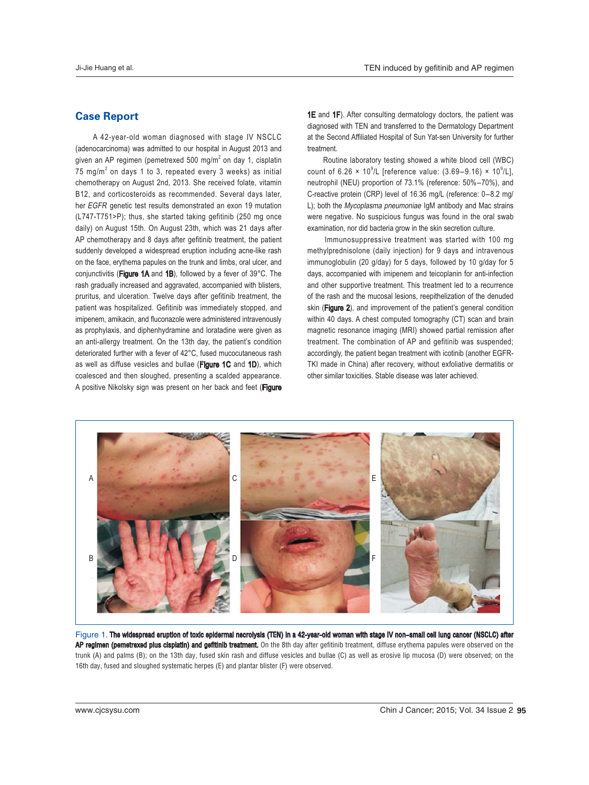## **Case Report**

 A 42-year-old woman diagnosed with stage IV NSCLC (adenocarcinoma) was admitted to our hospital in August 2013 and given an AP regimen (pemetrexed 500 mg/m<sup>2</sup> on day 1, cisplatin 75 mg/m<sup>2</sup> on days 1 to 3, repeated every 3 weeks) as initial chemotherapy on August 2nd, 2013. She received folate, vitamin B12, and corticosteroids as recommended. Several days later, her EGFR genetic test results demonstrated an exon 19 mutation (L747-T751>P); thus, she started taking gefitinib (250 mg once daily) on August 15th. On August 23th, which was 21 days after AP chemotherapy and 8 days after gefitinib treatment, the patient suddenly developed a widespread eruption including acne-like rash on the face, erythema papules on the trunk and limbs, oral ulcer, and conjunctivitis (Figure 1A and 1B), followed by a fever of 39°C. The rash gradually increased and aggravated, accompanied with blisters, pruritus, and ulceration. Twelve days after gefitinib treatment, the patient was hospitalized. Gefitinib was immediately stopped, and imipenem, amikacin, and fluconazole were administered intravenously as prophylaxis, and diphenhydramine and loratadine were given as an anti-allergy treatment. On the 13th day, the patient's condition deteriorated further with a fever of 42°C, fused mucocutaneous rash as well as diffuse vesicles and bullae (Figure 1C and 1D), which coalesced and then sloughed, presenting a scalded appearance. A positive Nikolsky sign was present on her back and feet (Figure 1E and 1F). After consulting dermatology doctors, the patient was diagnosed with TEN and transferred to the Dermatology Department at the Second Affiliated Hospital of Sun Yat-sen University for further treatment.

Routine laboratory testing showed a white blood cell (WBC) count of 6.26  $\times$  10<sup>9</sup>/L [reference value: (3.69–9.16)  $\times$  10<sup>9</sup>/L], neutrophil (NEU) proportion of 73.1% (reference: 50%-70%), and C-reactive protein (CRP) level of 16.36 mg/L (reference: 0-8.2 mg/ L); both the Mycoplasma pneumoniae IgM antibody and Mac strains were negative. No suspicious fungus was found in the oral swab examination, nor did bacteria grow in the skin secretion culture.

 Immunosuppressive treatment was started with 100 mg methylprednisolone (daily injection) for 9 days and intravenous immunoglobulin (20 g/day) for 5 days, followed by 10 g/day for 5 days, accompanied with imipenem and teicoplanin for anti-infection and other supportive treatment. This treatment led to a recurrence of the rash and the mucosal lesions, reepithelization of the denuded skin (Figure 2), and improvement of the patient's general condition within 40 days. A chest computed tomography (CT) scan and brain magnetic resonance imaging (MRI) showed partial remission after treatment. The combination of AP and gefitinib was suspended; accordingly, the patient began treatment with icotinib (another EGFR-TKI made in China) after recovery, without exfoliative dermatitis or other similar toxicities. Stable disease was later achieved.



Figure 1. The widespread eruption of toxic epidermal necrolysis (TEN) in a 42-year-old woman with stage IV non–small cell lung cancer (NSCLC) after **AP regimen (pemetrexed plus cisplatin) and gefitinib treatment.** On the 8th day after gefitinib treatment, diffuse erythema papules were observed on the trunk (A) and palms (B); on the 13th day, fused skin rash and diffuse vesicles and bullae (C) as well as erosive lip mucosa (D) were observed; on the 16th day, fused and sloughed systematic herpes  $(E)$  and plantar blister  $(F)$  were observed.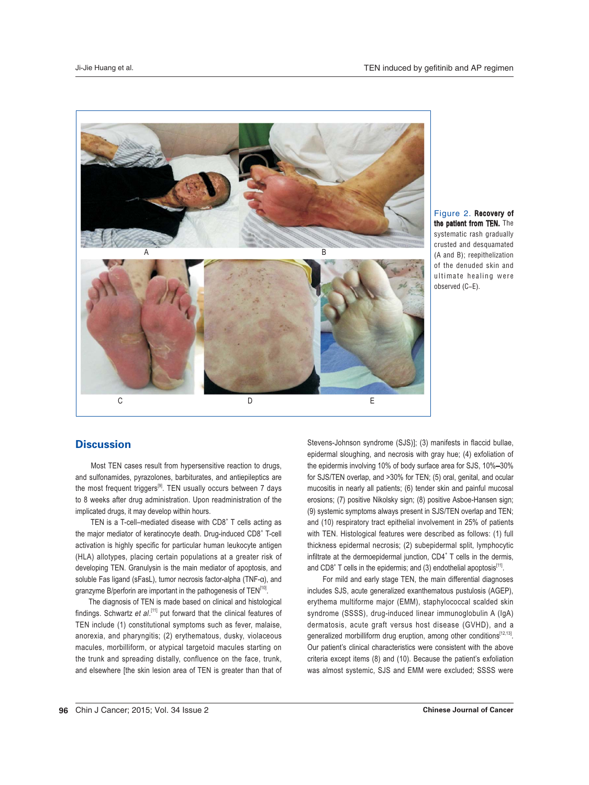

Figure 2. Recovery of the patient from TEN. The systematic rash gradually crusted and desquamated  $(A \text{ and } B)$ ; reepithelization of the denuded skin and ultimate healing were  $observed (C-E).$ 

#### **Discussion**

 Most TEN cases result from hypersensitive reaction to drugs, and sulfonamides, pyrazolones, barbiturates, and antiepileptics are the most frequent triggers<sup>[9]</sup>. TEN usually occurs between 7 days to 8 weeks after drug administration. Upon readministration of the implicated drugs, it may develop within hours.

TEN is a T-cell-mediated disease with  $CDS<sup>+</sup>$  T cells acting as the major mediator of keratinocyte death. Drug-induced CD8<sup>+</sup> T-cell activation is highly specific for particular human leukocyte antigen (HLA) allotypes, placing certain populations at a greater risk of developing TEN. Granulysin is the main mediator of apoptosis, and soluble Fas ligand (sFasL), tumor necrosis factor-alpha (TNF-α), and granzyme B/perforin are important in the pathogenesis of TEN<sup>[10]</sup>.

 The diagnosis of TEN is made based on clinical and histological findings. Schwartz et al.<sup>[11]</sup> put forward that the clinical features of TEN include (1) constitutional symptoms such as fever, malaise, anorexia, and pharyngitis; (2) erythematous, dusky, violaceous macules, morbilliform, or atypical targetoid macules starting on the trunk and spreading distally, confluence on the face, trunk, and elsewhere [the skin lesion area of TEN is greater than that of

Stevens-Johnson syndrome (SJS)]; (3) manifests in flaccid bullae, epidermal sloughing, and necrosis with gray hue; (4) exfoliation of the epidermis involving 10% of body surface area for SJS, 10%-30% for SJS/TEN overlap, and >30% for TEN; (5) oral, genital, and ocular mucositis in nearly all patients; (6) tender skin and painful mucosal erosions; (7) positive Nikolsky sign; (8) positive Asboe-Hansen sign; (9) systemic symptoms always present in SJS/TEN overlap and TEN; and (10) respiratory tract epithelial involvement in 25% of patients with TEN. Histological features were described as follows: (1) full thickness epidermal necrosis; (2) subepidermal split, lymphocytic infiltrate at the dermoepidermal junction, CD4<sup>+</sup> T cells in the dermis, and CD8<sup>+</sup> T cells in the epidermis; and (3) endothelial apoptosis<sup>[11]</sup>.

For mild and early stage TEN, the main differential diagnoses includes SJS, acute generalized exanthematous pustulosis (AGEP), erythema multiforme major (EMM), staphylococcal scalded skin syndrome (SSSS), drug-induced linear immunoglobulin A (IgA) dermatosis, acute graft versus host disease (GVHD), and a generalized morbilliform drug eruption, among other conditions<sup>[12,13]</sup>. Our patient's clinical characteristics were consistent with the above criteria except items (8) and (10). Because the patient's exfoliation was almost systemic, SJS and EMM were excluded; SSSS were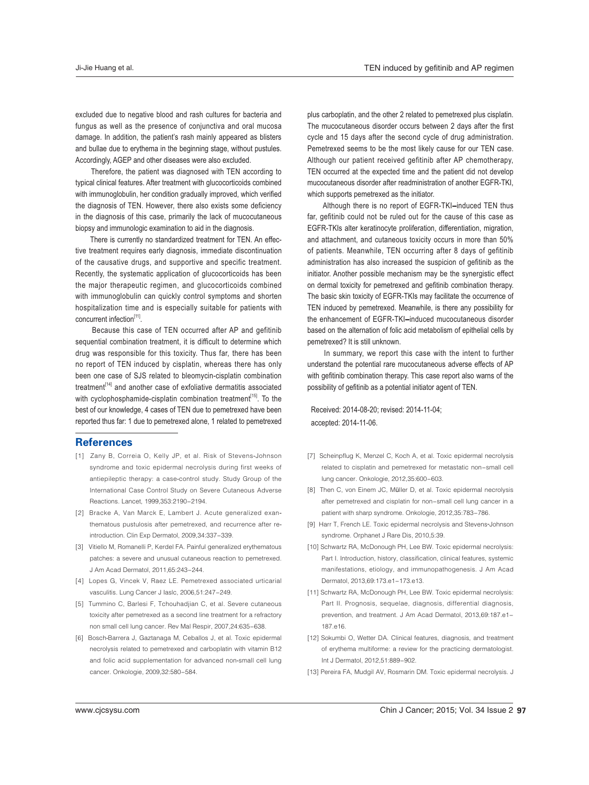excluded due to negative blood and rash cultures for bacteria and fungus as well as the presence of conjunctiva and oral mucosa damage. In addition, the patient's rash mainly appeared as blisters and bullae due to erythema in the beginning stage, without pustules. Accordingly, AGEP and other diseases were also excluded.

 Therefore, the patient was diagnosed with TEN according to typical clinical features. After treatment with glucocorticoids combined with immunoglobulin, her condition gradually improved, which verified the diagnosis of TEN. However, there also exists some deficiency in the diagnosis of this case, primarily the lack of mucocutaneous biopsy and immunologic examination to aid in the diagnosis.

 There is currently no standardized treatment for TEN. An effective treatment requires early diagnosis, immediate discontinuation of the causative drugs, and supportive and specific treatment. Recently, the systematic application of glucocorticoids has been the major therapeutic regimen, and glucocorticoids combined with immunoglobulin can quickly control symptoms and shorten hospitalization time and is especially suitable for patients with concurrent infection<sup>[11]</sup>.

 Because this case of TEN occurred after AP and gefitinib sequential combination treatment, it is difficult to determine which drug was responsible for this toxicity. Thus far, there has been no report of TEN induced by cisplatin, whereas there has only been one case of SJS related to bleomycin-cisplatin combination treatment<sup>[14]</sup> and another case of exfoliative dermatitis associated with cyclophosphamide-cisplatin combination treatment<sup>[15]</sup>. To the best of our knowledge, 4 cases of TEN due to pemetrexed have been reported thus far: 1 due to pemetrexed alone, 1 related to pemetrexed

#### **References**

- [1] Zany B, Correia O, Kelly JP, et al. Risk of Stevens-Johnson syndrome and toxic epidermal necrolysis during first weeks of antiepileptic therapy: a case-control study. Study Group of the International Case Control Study on Severe Cutaneous Adverse Reactions, Lancet, 1999, 353: 2190-2194.
- [2] Bracke A, Van Marck E, Lambert J. Acute generalized exanthematous pustulosis after pemetrexed, and recurrence after reintroduction. Clin Exp Dermatol, 2009,34:337-339.
- [3] Vitiello M, Romanelli P, Kerdel FA. Painful generalized erythematous patches: a severe and unusual cutaneous reaction to pemetrexed. J Am Acad Dermatol, 2011, 65: 243-244.
- [4] Lopes G, Vincek V, Raez LE. Pemetrexed associated urticarial vasculitis, Lung Cancer J laslc, 2006.51:247-249.
- [5] Tummino C, Barlesi F, Tchouhadjian C, et al. Severe cutaneous toxicity after pemetrexed as a second line treatment for a refractory non small cell lung cancer. Rev Mal Respir, 2007,24:635-638.
- [6] Bosch-Barrera J, Gaztanaga M, Ceballos J, et al. Toxic epidermal necrolysis related to pemetrexed and carboplatin with vitamin B12 and folic acid supplementation for advanced non-small cell lung cancer. Onkologie, 2009,32:580-584.

plus carboplatin, and the other 2 related to pemetrexed plus cisplatin. The mucocutaneous disorder occurs between 2 days after the first cycle and 15 days after the second cycle of drug administration. Pemetrexed seems to be the most likely cause for our TEN case. Although our patient received gefitinib after AP chemotherapy, TEN occurred at the expected time and the patient did not develop mucocutaneous disorder after readministration of another EGFR-TKI, which supports pemetrexed as the initiator.

Although there is no report of EGFR-TKI-induced TEN thus far, gefitinib could not be ruled out for the cause of this case as EGFR-TKIs alter keratinocyte proliferation, differentiation, migration, and attachment, and cutaneous toxicity occurs in more than 50% of patients. Meanwhile, TEN occurring after 8 days of gefitinib administration has also increased the suspicion of gefitinib as the initiator. Another possible mechanism may be the synergistic effect on dermal toxicity for pemetrexed and gefitinib combination therapy. The basic skin toxicity of EGFR-TKIs may facilitate the occurrence of TEN induced by pemetrexed. Meanwhile, is there any possibility for the enhancement of EGFR-TKI-induced mucocutaneous disorder based on the alternation of folic acid metabolism of epithelial cells by pemetrexed? It is still unknown.

 In summary, we report this case with the intent to further understand the potential rare mucocutaneous adverse effects of AP with gefitinib combination therapy. This case report also warns of the possibility of gefitinib as a potential initiator agent of TEN.

Received: 2014-08-20; revised: 2014-11-04; accepted: 2014-11-06.

- [7] Scheinpflug K, Menzel C, Koch A, et al. Toxic epidermal necrolysis related to cisplatin and pemetrexed for metastatic non-small cell lung cancer. Onkologie, 2012,35:600-603.
- [8] Then C, von Einem JC, Müller D, et al. Toxic epidermal necrolysis after pemetrexed and cisplatin for non-small cell lung cancer in a patient with sharp syndrome. Onkologie, 2012,35:783-786
- [9] Harr T, French LE. Toxic epidermal necrolysis and Stevens-Johnson syndrome. Orphanet J Rare Dis, 2010,5:39.
- [10] Schwartz RA, McDonough PH, Lee BW. Toxic epidermal necrolysis: Part I. Introduction, history, classification, clinical features, systemic manifestations, etiology, and immunopathogenesis. J Am Acad Dermatol, 2013,69:173.e1-173.e13.
- [11] Schwartz RA, McDonough PH, Lee BW. Toxic epidermal necrolysis: Part II. Prognosis, sequelae, diagnosis, differential diagnosis, prevention, and treatment. J Am Acad Dermatol, 2013,69:187.e1-187.e16
- [12] Sokumbi O, Wetter DA. Clinical features, diagnosis, and treatment of erythema multiforme: a review for the practicing dermatologist. Int J Dermatol, 2012,51:889-902.
- [13] Pereira FA, Mudgil AV, Rosmarin DM. Toxic epidermal necrolysis. J